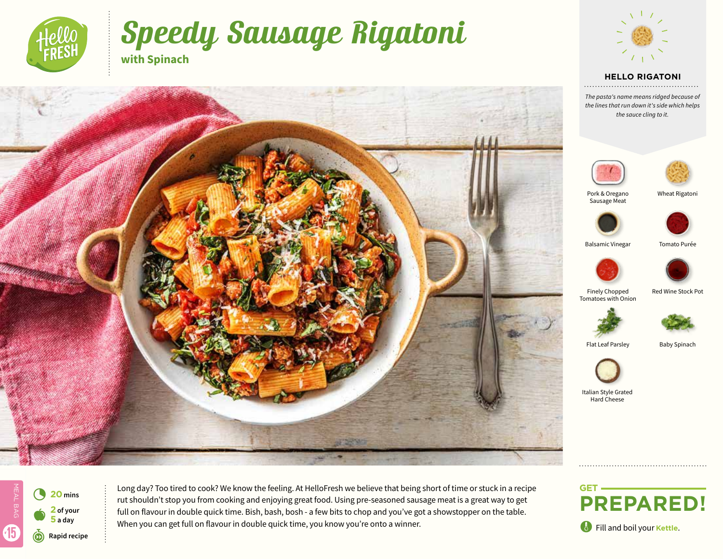

# Speedy Sausage Rigatoni **with Spinach**



#### **HELLO RIGATONI**

*The pasta's name means ridged because of the lines that run down it's side which helps the sauce cling to it.*





Pork & Oregano Sausage Meat

Wheat Rigatoni





Balsamic Vinegar Tomato Purée



Finely Chopped Red Wine Stock Pot Tomatoes with Onion



Flat Leaf Parsley Baby Spinach



Italian Style Grated Hard Cheese

MEAL BAG 4 **<sup>20</sup> mins** ALBAG **2 of your**   $\bullet$ **5 a day** 15 r**Rapid recipe**